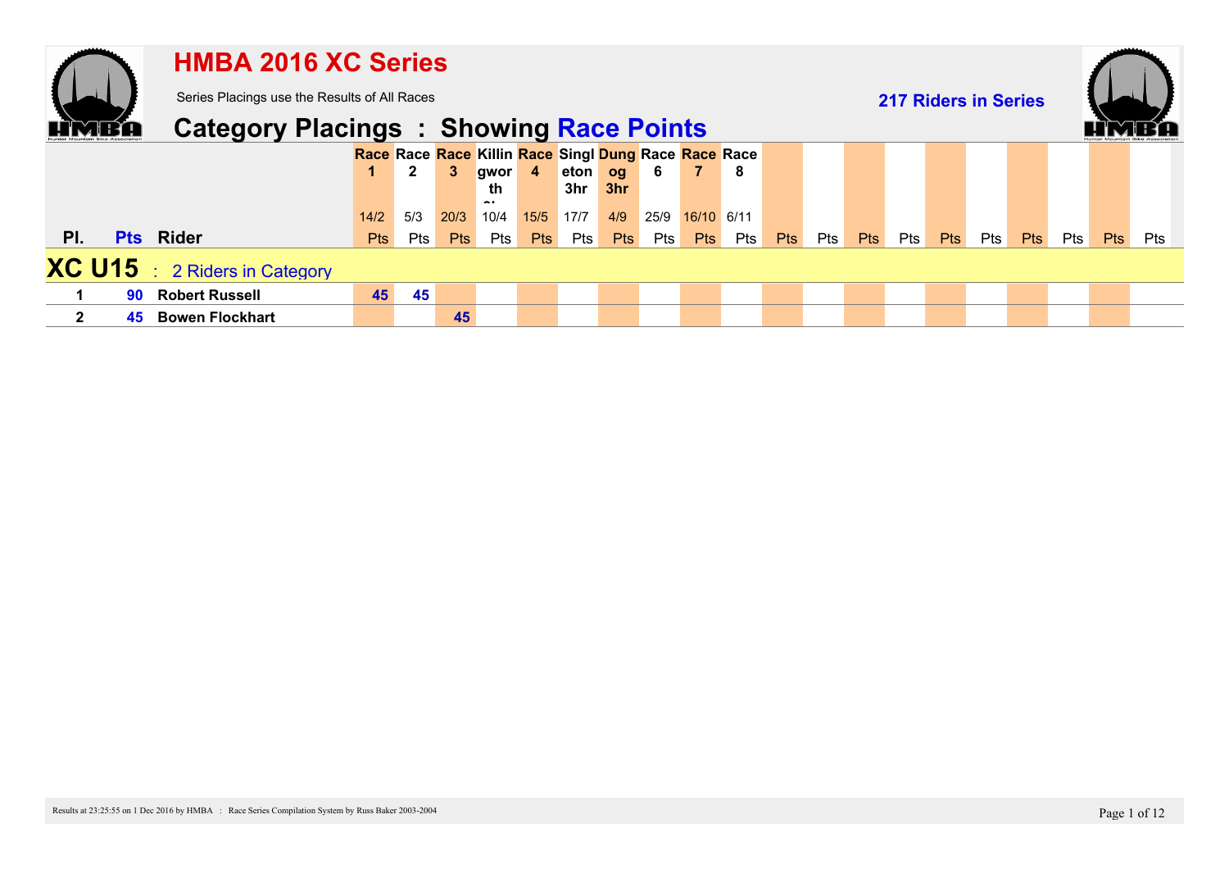|              |    | <b>HMBA 2016 XC Series</b>                     |      |              |              |                                                      |                |         |            |      |                |     |            |     |            |                             |            |            |            |            |            |     |
|--------------|----|------------------------------------------------|------|--------------|--------------|------------------------------------------------------|----------------|---------|------------|------|----------------|-----|------------|-----|------------|-----------------------------|------------|------------|------------|------------|------------|-----|
|              |    | Series Placings use the Results of All Races   |      |              |              |                                                      |                |         |            |      |                |     |            |     |            | <b>217 Riders in Series</b> |            |            |            |            |            |     |
|              |    | <b>Category Placings : Showing Race Points</b> |      |              |              |                                                      |                |         |            |      |                |     |            |     |            |                             |            |            |            |            |            |     |
|              |    |                                                |      |              |              | Race Race Race Killin Race Singl Dung Race Race Race |                |         |            |      |                |     |            |     |            |                             |            |            |            |            |            |     |
|              |    |                                                |      | $\mathbf{2}$ | $\mathbf{3}$ | gwor                                                 | $\overline{4}$ | eton og |            | - 6  | 7 <sup>7</sup> | - 8 |            |     |            |                             |            |            |            |            |            |     |
|              |    |                                                |      |              |              | th<br>                                               |                | 3hr     | 3hr        |      |                |     |            |     |            |                             |            |            |            |            |            |     |
|              |    |                                                | 14/2 | 5/3          | 20/3         | 10/4                                                 | 15/5           | 17/7    | 4/9        | 25/9 | 16/10 6/11     |     |            |     |            |                             |            |            |            |            |            |     |
| PI.          |    | <b>Pts</b> Rider                               | Pts  | Pts          | <b>Pts</b>   | Pts                                                  | <b>Pts</b>     | Pts     | <b>Pts</b> | Pts  | <b>Pts</b>     | Pts | <b>Pts</b> | Pts | <b>Pts</b> | Pts                         | <b>Pts</b> | <b>Pts</b> | <b>Pts</b> | <b>Pts</b> | <b>Pts</b> | Pts |
|              |    | <b>XC U15</b> : 2 Riders in Category           |      |              |              |                                                      |                |         |            |      |                |     |            |     |            |                             |            |            |            |            |            |     |
|              | 90 | <b>Robert Russell</b>                          | 45   | 45           |              |                                                      |                |         |            |      |                |     |            |     |            |                             |            |            |            |            |            |     |
| $\mathbf{2}$ | 45 | <b>Bowen Flockhart</b>                         |      |              | 45           |                                                      |                |         |            |      |                |     |            |     |            |                             |            |            |            |            |            |     |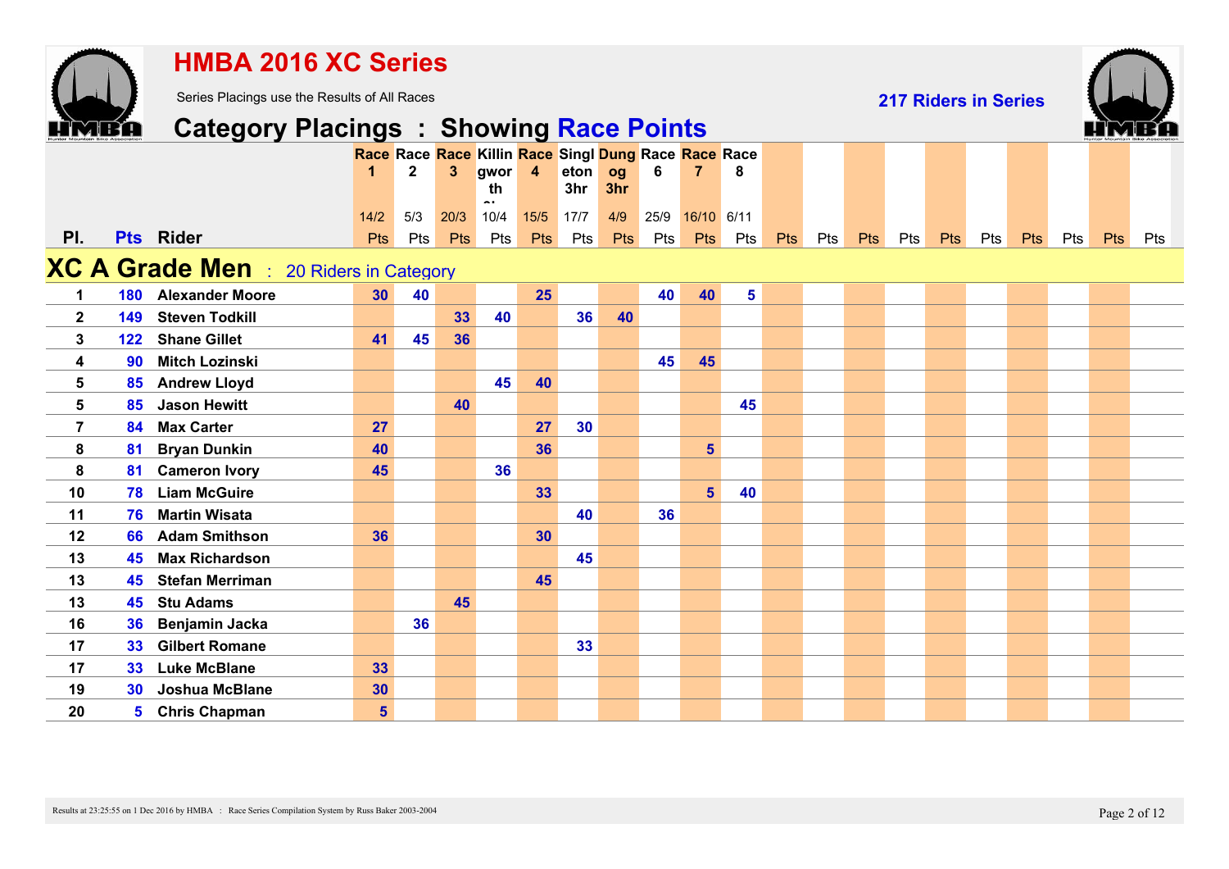|                |                 | <b>HMBA 2016 XC Series</b>                     |                |              |      |      |                  |                                                      |     |      |                |     |     |     |            |     |                             |     |     |     |            |     |
|----------------|-----------------|------------------------------------------------|----------------|--------------|------|------|------------------|------------------------------------------------------|-----|------|----------------|-----|-----|-----|------------|-----|-----------------------------|-----|-----|-----|------------|-----|
|                |                 | Series Placings use the Results of All Races   |                |              |      |      |                  |                                                      |     |      |                |     |     |     |            |     | <b>217 Riders in Series</b> |     |     |     |            |     |
|                |                 | <b>Category Placings : Showing Race Points</b> |                |              |      |      |                  |                                                      |     |      |                |     |     |     |            |     |                             |     |     |     |            |     |
|                |                 |                                                |                |              |      |      |                  | Race Race Race Killin Race Singl Dung Race Race Race |     |      |                |     |     |     |            |     |                             |     |     |     |            |     |
|                |                 |                                                | 1              | $\mathbf{2}$ | 3    | gwor | $\boldsymbol{4}$ | eton                                                 | og  | 6    | $\overline{7}$ | 8   |     |     |            |     |                             |     |     |     |            |     |
|                |                 |                                                |                |              |      | th   |                  | 3hr                                                  | 3hr |      |                |     |     |     |            |     |                             |     |     |     |            |     |
|                |                 |                                                | $14/2$         | 5/3          | 20/3 | 10/4 | 15/5             | $\boxed{17/7}$                                       | 4/9 | 25/9 | 16/10 6/11     |     |     |     |            |     |                             |     |     |     |            |     |
| PI.            |                 | <b>Pts</b> Rider                               | <b>Pts</b>     | Pts          | Pts  | Pts  | <b>Pts</b>       | Pts                                                  | Pts | Pts  | Pts            | Pts | Pts | Pts | <b>Pts</b> | Pts | Pts                         | Pts | Pts | Pts | <b>Pts</b> | Pts |
|                |                 | XC A Grade Men : 20 Riders in Category         |                |              |      |      |                  |                                                      |     |      |                |     |     |     |            |     |                             |     |     |     |            |     |
| 1              | 180             | <b>Alexander Moore</b>                         | 30             | 40           |      |      | 25               |                                                      |     | 40   | 40             | 5   |     |     |            |     |                             |     |     |     |            |     |
| $\mathbf{2}$   | 149             | <b>Steven Todkill</b>                          |                |              | 33   | 40   |                  | 36                                                   | 40  |      |                |     |     |     |            |     |                             |     |     |     |            |     |
| 3              | 122             | <b>Shane Gillet</b>                            | 41             | 45           | 36   |      |                  |                                                      |     |      |                |     |     |     |            |     |                             |     |     |     |            |     |
| 4              | 90              | <b>Mitch Lozinski</b>                          |                |              |      |      |                  |                                                      |     | 45   | 45             |     |     |     |            |     |                             |     |     |     |            |     |
| 5              | 85              | <b>Andrew Lloyd</b>                            |                |              |      | 45   | 40               |                                                      |     |      |                |     |     |     |            |     |                             |     |     |     |            |     |
| 5              | 85              | <b>Jason Hewitt</b>                            |                |              | 40   |      |                  |                                                      |     |      |                | 45  |     |     |            |     |                             |     |     |     |            |     |
| $\overline{7}$ | 84              | <b>Max Carter</b>                              | 27             |              |      |      | 27               | 30                                                   |     |      |                |     |     |     |            |     |                             |     |     |     |            |     |
| 8              | 81              | <b>Bryan Dunkin</b>                            | 40             |              |      |      | 36               |                                                      |     |      | $5\phantom{1}$ |     |     |     |            |     |                             |     |     |     |            |     |
| 8              | 81              | <b>Cameron Ivory</b>                           | 45             |              |      | 36   |                  |                                                      |     |      |                |     |     |     |            |     |                             |     |     |     |            |     |
| 10             | 78              | <b>Liam McGuire</b>                            |                |              |      |      | 33               |                                                      |     |      | $5\phantom{1}$ | 40  |     |     |            |     |                             |     |     |     |            |     |
| 11             | 76              | <b>Martin Wisata</b>                           |                |              |      |      |                  | 40                                                   |     | 36   |                |     |     |     |            |     |                             |     |     |     |            |     |
| 12             | 66              | <b>Adam Smithson</b>                           | 36             |              |      |      | 30               |                                                      |     |      |                |     |     |     |            |     |                             |     |     |     |            |     |
| 13             | 45              | <b>Max Richardson</b>                          |                |              |      |      |                  | 45                                                   |     |      |                |     |     |     |            |     |                             |     |     |     |            |     |
| 13             | 45              | <b>Stefan Merriman</b>                         |                |              |      |      | 45               |                                                      |     |      |                |     |     |     |            |     |                             |     |     |     |            |     |
| 13             | 45              | <b>Stu Adams</b>                               |                |              | 45   |      |                  |                                                      |     |      |                |     |     |     |            |     |                             |     |     |     |            |     |
| 16             | 36              | Benjamin Jacka                                 |                | 36           |      |      |                  |                                                      |     |      |                |     |     |     |            |     |                             |     |     |     |            |     |
| 17             | 33              | <b>Gilbert Romane</b>                          |                |              |      |      |                  | 33                                                   |     |      |                |     |     |     |            |     |                             |     |     |     |            |     |
| 17             | 33 <sub>°</sub> | <b>Luke McBlane</b>                            | 33             |              |      |      |                  |                                                      |     |      |                |     |     |     |            |     |                             |     |     |     |            |     |
| 19             | 30              | Joshua McBlane                                 | 30             |              |      |      |                  |                                                      |     |      |                |     |     |     |            |     |                             |     |     |     |            |     |
| 20             | 5               | <b>Chris Chapman</b>                           | 5 <sup>5</sup> |              |      |      |                  |                                                      |     |      |                |     |     |     |            |     |                             |     |     |     |            |     |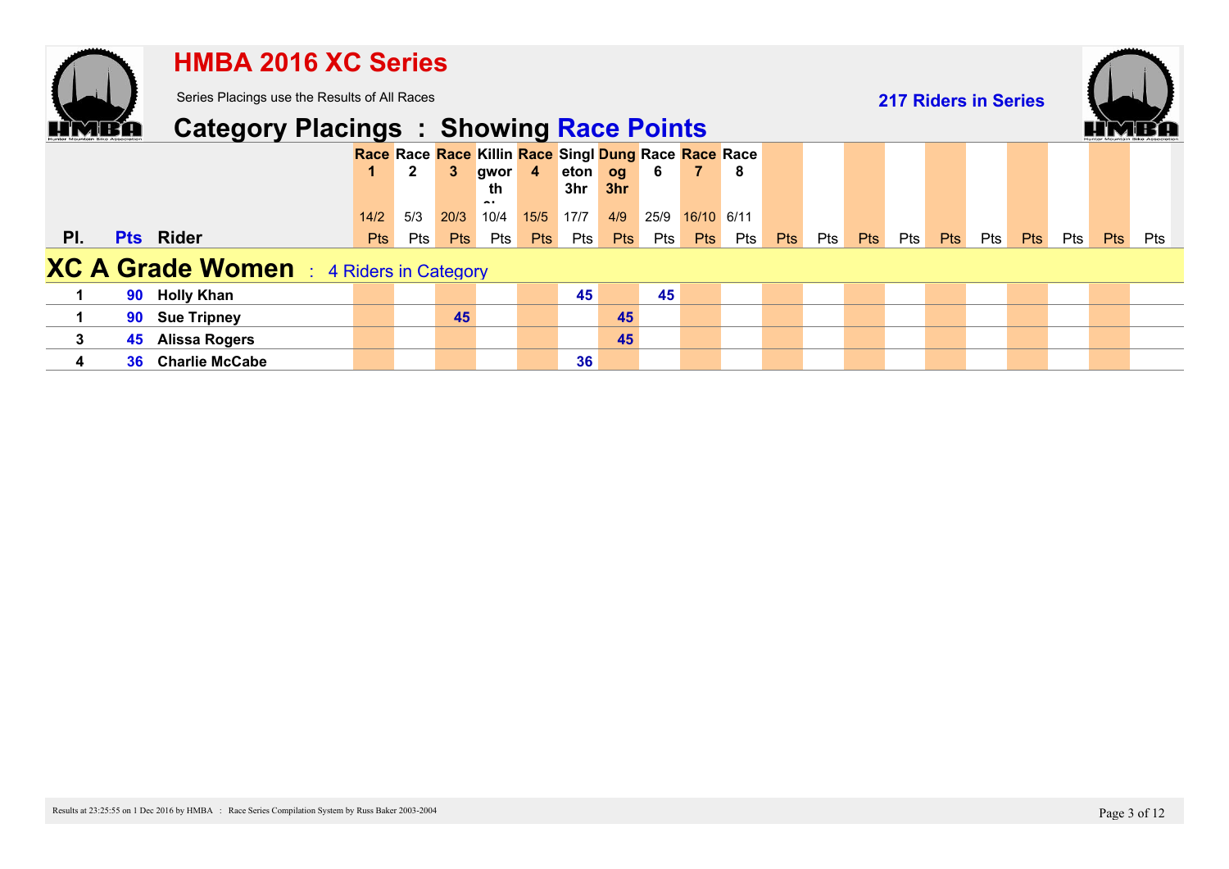|              |    | <b>HMBA 2016 XC Series</b>                     |                    |              |                    |                         |            |                                                                        |                   |             |                |                   |            |     |            |                             |     |     |            |     |            |            |
|--------------|----|------------------------------------------------|--------------------|--------------|--------------------|-------------------------|------------|------------------------------------------------------------------------|-------------------|-------------|----------------|-------------------|------------|-----|------------|-----------------------------|-----|-----|------------|-----|------------|------------|
|              |    | Series Placings use the Results of All Races   |                    |              |                    |                         |            |                                                                        |                   |             |                |                   |            |     |            | <b>217 Riders in Series</b> |     |     |            |     |            |            |
|              |    | <b>Category Placings : Showing Race Points</b> |                    |              |                    |                         |            |                                                                        |                   |             |                |                   |            |     |            |                             |     |     |            |     |            |            |
|              |    |                                                |                    | $\mathbf{2}$ | 3                  | gwor 4<br>th.           |            | Race Race Race Killin Race Singl Dung Race Race Race<br>eton og<br>3hr | 3hr               | $-6$        | $\overline{7}$ | - 8               |            |     |            |                             |     |     |            |     |            |            |
| PI.          |    | <b>Pts</b> Rider                               | 14/2<br><b>Pts</b> | 5/3<br>Pts   | 20/3<br><b>Pts</b> | $\sim$ .<br>10/4<br>Pts | <b>Pts</b> | 15/5 17/7<br>Pts                                                       | 4/9<br><b>Pts</b> | 25/9<br>Pts | <b>Pts</b>     | 16/10 6/11<br>Pts | <b>Pts</b> | Pts | <b>Pts</b> | Pts                         | Pts | Pts | <b>Pts</b> | Pts | <b>Pts</b> | <b>Pts</b> |
|              |    | <b>XC A Grade Women</b> : 4 Riders in Category |                    |              |                    |                         |            |                                                                        |                   |             |                |                   |            |     |            |                             |     |     |            |     |            |            |
|              | 90 | <b>Holly Khan</b>                              |                    |              |                    |                         |            | 45                                                                     |                   | 45          |                |                   |            |     |            |                             |     |     |            |     |            |            |
|              | 90 | <b>Sue Tripney</b>                             |                    |              | 45                 |                         |            |                                                                        | 45                |             |                |                   |            |     |            |                             |     |     |            |     |            |            |
| $\mathbf{3}$ | 45 | <b>Alissa Rogers</b>                           |                    |              |                    |                         |            |                                                                        | 45                |             |                |                   |            |     |            |                             |     |     |            |     |            |            |
| 4            | 36 | <b>Charlie McCabe</b>                          |                    |              |                    |                         |            | 36                                                                     |                   |             |                |                   |            |     |            |                             |     |     |            |     |            |            |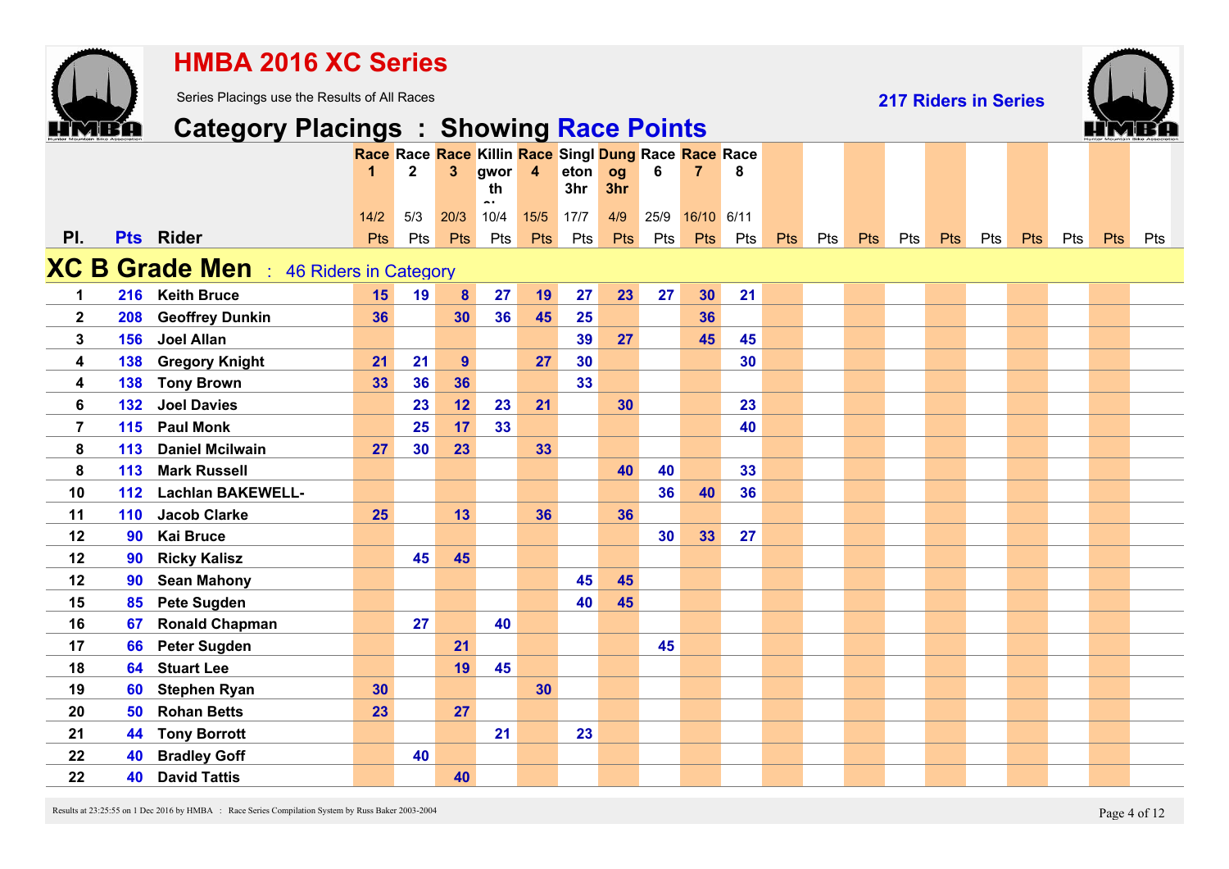|                |     | <b>HMBA 2016 XC Series</b>                     |            |                |                  |                              |                         |             |            |                 |                                                      |     |            |     |            |     |                             |     |     |     |            |     |
|----------------|-----|------------------------------------------------|------------|----------------|------------------|------------------------------|-------------------------|-------------|------------|-----------------|------------------------------------------------------|-----|------------|-----|------------|-----|-----------------------------|-----|-----|-----|------------|-----|
|                |     | Series Placings use the Results of All Races   |            |                |                  |                              |                         |             |            |                 |                                                      |     |            |     |            |     | <b>217 Riders in Series</b> |     |     |     |            |     |
|                |     | <b>Category Placings : Showing Race Points</b> |            |                |                  |                              |                         |             |            |                 |                                                      |     |            |     |            |     |                             |     |     |     |            |     |
|                |     |                                                |            |                |                  |                              |                         |             |            |                 | Race Race Race Killin Race Singl Dung Race Race Race |     |            |     |            |     |                             |     |     |     |            |     |
|                |     |                                                |            | $\overline{2}$ | $\overline{3}$   | gwor<br>th                   | $\overline{\mathbf{4}}$ | eton<br>3hr | og<br>3hr  | 6               | 7                                                    | 8   |            |     |            |     |                             |     |     |     |            |     |
|                |     |                                                | 14/2       | 5/3            | 20/3             | $\ddot{\phantom{a}}$<br>10/4 | 15/5                    | 17/7        | 4/9        | 25/9            | 16/10 6/11                                           |     |            |     |            |     |                             |     |     |     |            |     |
| PI.            |     | <b>Pts</b> Rider                               | <b>Pts</b> | Pts            | Pts              | Pts                          | Pts                     | Pts         | <b>Pts</b> | Pts             | Pts                                                  | Pts | <b>Pts</b> | Pts | <b>Pts</b> | Pts | Pts                         | Pts | Pts | Pts | <b>Pts</b> | Pts |
|                |     | <b>XC B Grade Men</b> : 46 Riders in Category  |            |                |                  |                              |                         |             |            |                 |                                                      |     |            |     |            |     |                             |     |     |     |            |     |
| $\mathbf 1$    |     | 216 Keith Bruce                                | 15         | 19             | $\boldsymbol{8}$ | 27                           | 19                      | 27          | 23         | 27              | 30 <sub>o</sub>                                      | 21  |            |     |            |     |                             |     |     |     |            |     |
| $\mathbf{2}$   | 208 | <b>Geoffrey Dunkin</b>                         | 36         |                | 30               | 36                           | 45                      | 25          |            |                 | 36                                                   |     |            |     |            |     |                             |     |     |     |            |     |
| 3              | 156 | <b>Joel Allan</b>                              |            |                |                  |                              |                         | 39          | 27         |                 | 45                                                   | 45  |            |     |            |     |                             |     |     |     |            |     |
| 4              | 138 | <b>Gregory Knight</b>                          | 21         | 21             | 9                |                              | 27                      | 30          |            |                 |                                                      | 30  |            |     |            |     |                             |     |     |     |            |     |
| 4              | 138 | <b>Tony Brown</b>                              | 33         | 36             | 36               |                              |                         | 33          |            |                 |                                                      |     |            |     |            |     |                             |     |     |     |            |     |
| 6              | 132 | <b>Joel Davies</b>                             |            | 23             | 12               | 23                           | 21                      |             | 30         |                 |                                                      | 23  |            |     |            |     |                             |     |     |     |            |     |
| $\overline{7}$ | 115 | <b>Paul Monk</b>                               |            | 25             | 17               | 33                           |                         |             |            |                 |                                                      | 40  |            |     |            |     |                             |     |     |     |            |     |
| 8              | 113 | <b>Daniel Mcilwain</b>                         | 27         | 30             | 23               |                              | 33                      |             |            |                 |                                                      |     |            |     |            |     |                             |     |     |     |            |     |
| 8              | 113 | <b>Mark Russell</b>                            |            |                |                  |                              |                         |             | 40         | 40              |                                                      | 33  |            |     |            |     |                             |     |     |     |            |     |
| 10             | 112 | <b>Lachlan BAKEWELL-</b>                       |            |                |                  |                              |                         |             |            | 36              | 40                                                   | 36  |            |     |            |     |                             |     |     |     |            |     |
| 11             | 110 | <b>Jacob Clarke</b>                            | 25         |                | 13               |                              | 36                      |             | 36         |                 |                                                      |     |            |     |            |     |                             |     |     |     |            |     |
| 12             | 90  | <b>Kai Bruce</b>                               |            |                |                  |                              |                         |             |            | 30 <sup>°</sup> | 33                                                   | 27  |            |     |            |     |                             |     |     |     |            |     |
| 12             | 90  | <b>Ricky Kalisz</b>                            |            | 45             | 45               |                              |                         |             |            |                 |                                                      |     |            |     |            |     |                             |     |     |     |            |     |
| 12             | 90  | <b>Sean Mahony</b>                             |            |                |                  |                              |                         | 45          | 45         |                 |                                                      |     |            |     |            |     |                             |     |     |     |            |     |
| 15             | 85  | <b>Pete Sugden</b>                             |            |                |                  |                              |                         | 40          | 45         |                 |                                                      |     |            |     |            |     |                             |     |     |     |            |     |
| 16             | 67  | <b>Ronald Chapman</b>                          |            | 27             |                  | 40                           |                         |             |            |                 |                                                      |     |            |     |            |     |                             |     |     |     |            |     |
| 17             | 66  | <b>Peter Sugden</b>                            |            |                | 21               |                              |                         |             |            | 45              |                                                      |     |            |     |            |     |                             |     |     |     |            |     |
| 18             | 64  | <b>Stuart Lee</b>                              |            |                | 19               | 45                           |                         |             |            |                 |                                                      |     |            |     |            |     |                             |     |     |     |            |     |
| 19             | 60  | <b>Stephen Ryan</b>                            | 30         |                |                  |                              | 30                      |             |            |                 |                                                      |     |            |     |            |     |                             |     |     |     |            |     |
| 20             | 50  | <b>Rohan Betts</b>                             | 23         |                | 27               |                              |                         |             |            |                 |                                                      |     |            |     |            |     |                             |     |     |     |            |     |
| 21             | 44  | <b>Tony Borrott</b>                            |            |                |                  | 21                           |                         | 23          |            |                 |                                                      |     |            |     |            |     |                             |     |     |     |            |     |
| 22             | 40  | <b>Bradley Goff</b>                            |            | 40             |                  |                              |                         |             |            |                 |                                                      |     |            |     |            |     |                             |     |     |     |            |     |
| 22             | 40  | <b>David Tattis</b>                            |            |                | 40               |                              |                         |             |            |                 |                                                      |     |            |     |            |     |                             |     |     |     |            |     |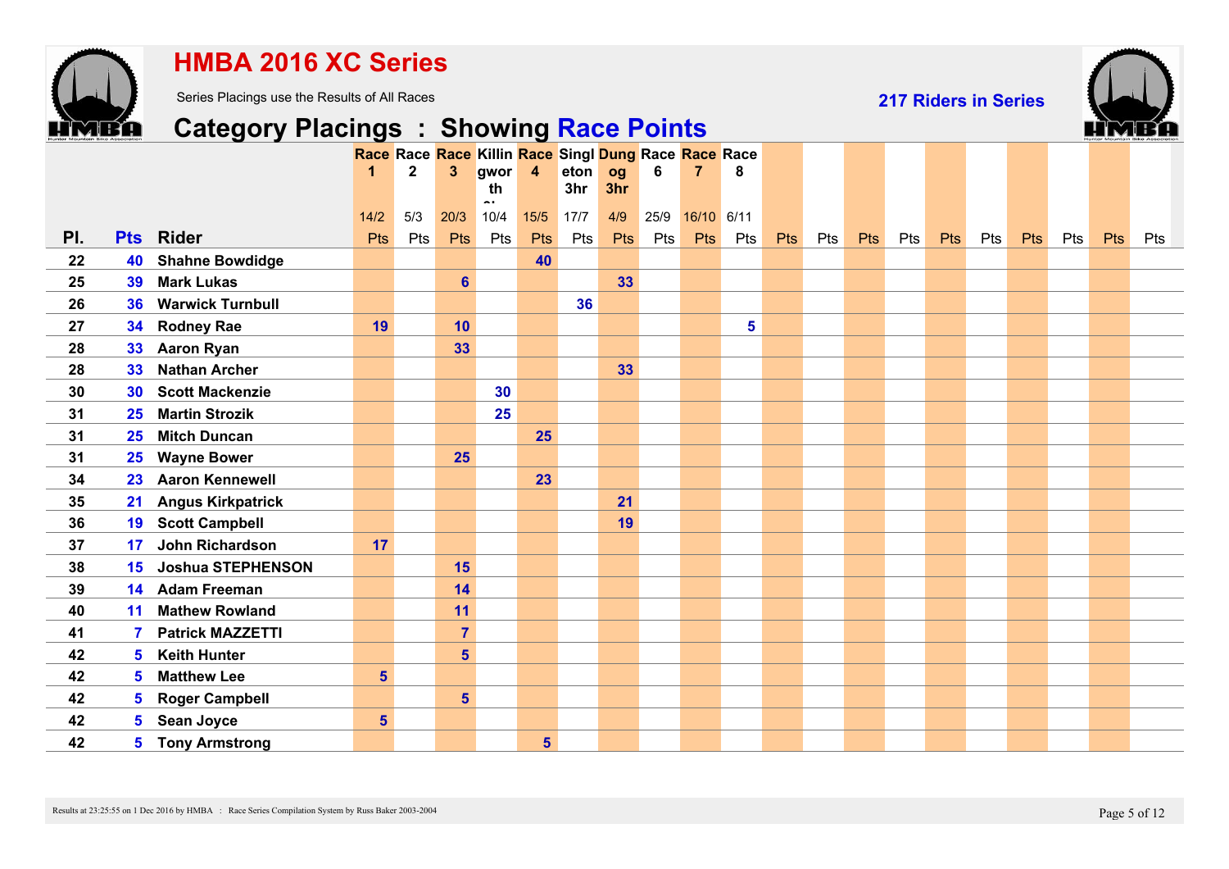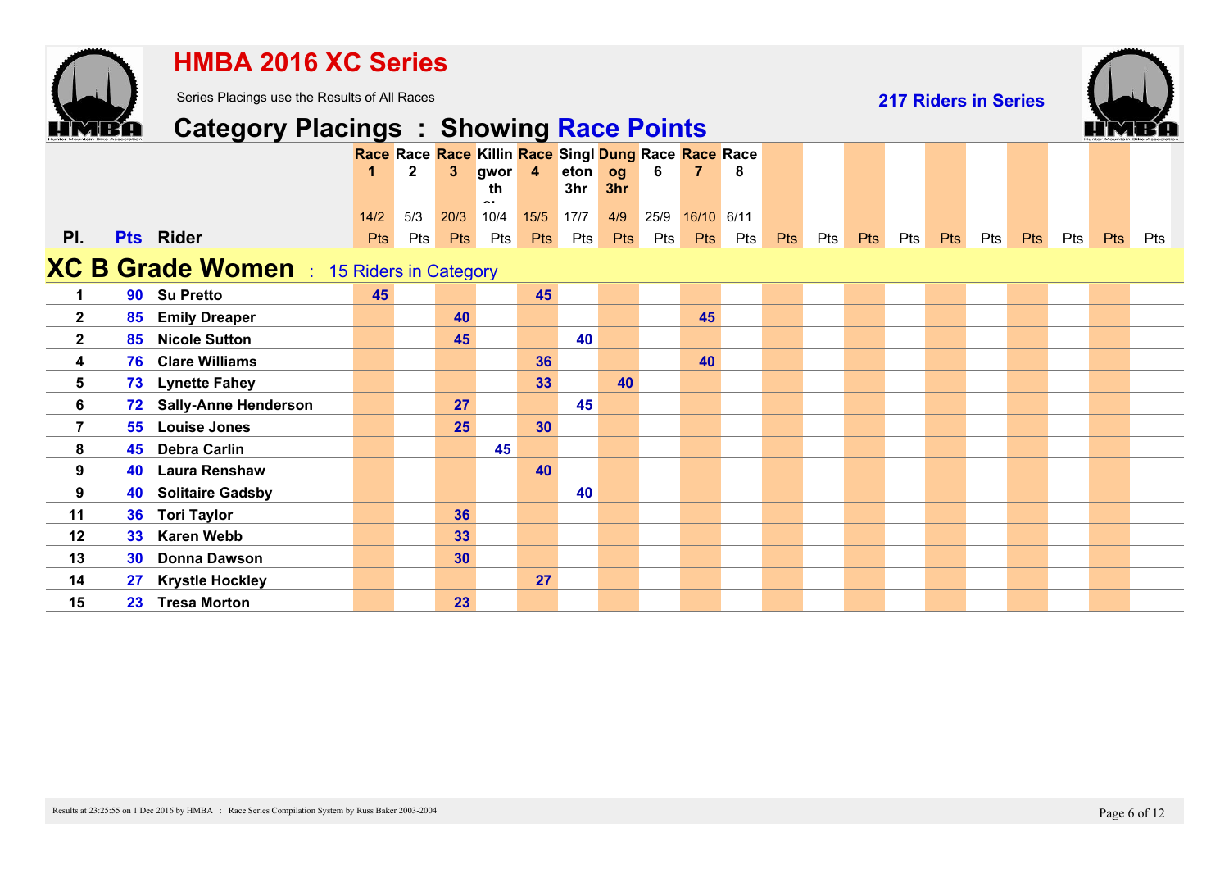|                  |    | <b>HMBA 2016 XC Series</b>                      |                    |                                                                      |             |                             |                |             |                   |             |                   |     |            |     |            |     |                             |     |     |     |            |     |
|------------------|----|-------------------------------------------------|--------------------|----------------------------------------------------------------------|-------------|-----------------------------|----------------|-------------|-------------------|-------------|-------------------|-----|------------|-----|------------|-----|-----------------------------|-----|-----|-----|------------|-----|
|                  |    | Series Placings use the Results of All Races    |                    |                                                                      |             |                             |                |             |                   |             |                   |     |            |     |            |     | <b>217 Riders in Series</b> |     |     |     |            |     |
|                  |    | <b>Category Placings : Showing Race Points</b>  |                    |                                                                      |             |                             |                |             |                   |             |                   |     |            |     |            |     |                             |     |     |     |            |     |
|                  |    |                                                 |                    | Race Race Race Killin Race Singl Dung Race Race Race<br>$\mathbf{2}$ | 3           | gwor<br>th<br>$\sim$ $\sim$ | $\overline{4}$ | eton<br>3hr | og<br>3hr         | 6           | 7                 | 8   |            |     |            |     |                             |     |     |     |            |     |
| PI.              |    | Pts Rider                                       | 14/2<br><b>Pts</b> | 5/3<br>Pts                                                           | 20/3<br>Pts | 10/4<br>Pts                 | $15/5$<br>Pts  | 17/7<br>Pts | 4/9<br><b>Pts</b> | 25/9<br>Pts | 16/10 6/11<br>Pts | Pts | <b>Pts</b> | Pts | <b>Pts</b> | Pts | <b>Pts</b>                  | Pts | Pts | Pts | <b>Pts</b> | Pts |
|                  |    | <b>XC B Grade Women</b> : 15 Riders in Category |                    |                                                                      |             |                             |                |             |                   |             |                   |     |            |     |            |     |                             |     |     |     |            |     |
| $\mathbf 1$      |    | 90 Su Pretto                                    | 45                 |                                                                      |             |                             | 45             |             |                   |             |                   |     |            |     |            |     |                             |     |     |     |            |     |
| $\mathbf{2}$     | 85 | <b>Emily Dreaper</b>                            |                    |                                                                      | 40          |                             |                |             |                   |             | 45                |     |            |     |            |     |                             |     |     |     |            |     |
| $\mathbf 2$      | 85 | <b>Nicole Sutton</b>                            |                    |                                                                      | 45          |                             |                | 40          |                   |             |                   |     |            |     |            |     |                             |     |     |     |            |     |
| $\boldsymbol{4}$ | 76 | <b>Clare Williams</b>                           |                    |                                                                      |             |                             | 36             |             |                   |             | 40                |     |            |     |            |     |                             |     |     |     |            |     |
| $5\phantom{.0}$  | 73 | <b>Lynette Fahey</b>                            |                    |                                                                      |             |                             | 33             |             | 40                |             |                   |     |            |     |            |     |                             |     |     |     |            |     |
| $6\phantom{a}$   | 72 | <b>Sally-Anne Henderson</b>                     |                    |                                                                      | 27          |                             |                | 45          |                   |             |                   |     |            |     |            |     |                             |     |     |     |            |     |
| $\overline{7}$   | 55 | <b>Louise Jones</b>                             |                    |                                                                      | 25          |                             | 30             |             |                   |             |                   |     |            |     |            |     |                             |     |     |     |            |     |
| 8                | 45 | <b>Debra Carlin</b>                             |                    |                                                                      |             | 45                          |                |             |                   |             |                   |     |            |     |            |     |                             |     |     |     |            |     |
| 9                | 40 | <b>Laura Renshaw</b>                            |                    |                                                                      |             |                             | 40             |             |                   |             |                   |     |            |     |            |     |                             |     |     |     |            |     |
| 9                | 40 | <b>Solitaire Gadsby</b>                         |                    |                                                                      |             |                             |                | 40          |                   |             |                   |     |            |     |            |     |                             |     |     |     |            |     |
| 11               | 36 | <b>Tori Taylor</b>                              |                    |                                                                      | 36          |                             |                |             |                   |             |                   |     |            |     |            |     |                             |     |     |     |            |     |
| 12               | 33 | <b>Karen Webb</b>                               |                    |                                                                      | 33          |                             |                |             |                   |             |                   |     |            |     |            |     |                             |     |     |     |            |     |
| 13               | 30 | <b>Donna Dawson</b>                             |                    |                                                                      | 30          |                             |                |             |                   |             |                   |     |            |     |            |     |                             |     |     |     |            |     |
| 14               | 27 | <b>Krystle Hockley</b>                          |                    |                                                                      |             |                             | 27             |             |                   |             |                   |     |            |     |            |     |                             |     |     |     |            |     |
| 15               |    | 23 Tresa Morton                                 |                    |                                                                      | 23          |                             |                |             |                   |             |                   |     |            |     |            |     |                             |     |     |     |            |     |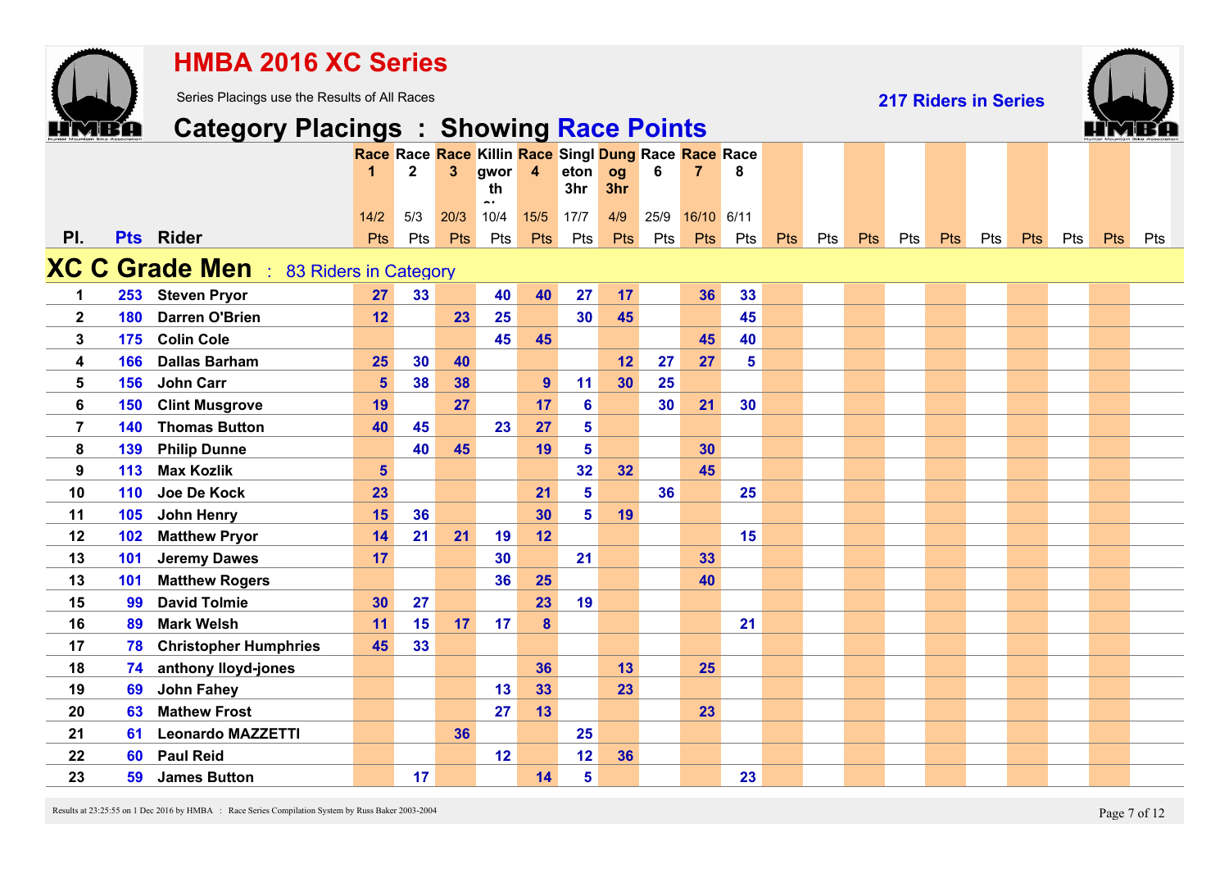|                         |            | <b>HMBA 2016 XC Series</b>                     |                |                |              |                                                      |                |                |                       |      |                |          |     |     |            |     |                             |     |     |     |     |     |
|-------------------------|------------|------------------------------------------------|----------------|----------------|--------------|------------------------------------------------------|----------------|----------------|-----------------------|------|----------------|----------|-----|-----|------------|-----|-----------------------------|-----|-----|-----|-----|-----|
|                         |            | Series Placings use the Results of All Races   |                |                |              |                                                      |                |                |                       |      |                |          |     |     |            |     | <b>217 Riders in Series</b> |     |     |     |     |     |
|                         |            | <b>Category Placings : Showing Race Points</b> |                |                |              |                                                      |                |                |                       |      |                |          |     |     |            |     |                             |     |     |     |     |     |
|                         |            |                                                |                |                |              | Race Race Race Killin Race Singl Dung Race Race Race |                |                |                       |      |                |          |     |     |            |     |                             |     |     |     |     |     |
|                         |            |                                                |                | $\overline{2}$ | $\mathbf{3}$ | gwor<br>th                                           | $\overline{4}$ | eton<br>3hr    | og<br>3hr             | 6    | $\overline{7}$ | 8        |     |     |            |     |                             |     |     |     |     |     |
|                         |            |                                                | 14/2           | 5/3            | 20/3         | $\overline{\phantom{a}}$<br>10/4                     | 15/5           | 17/7           | 4/9                   | 25/9 | 16/10 6/11     |          |     |     |            |     |                             |     |     |     |     |     |
| PI.                     |            | <b>Pts</b> Rider                               | <b>Pts</b>     | Pts            | Pts          | Pts                                                  | Pts            | Pts            | Pts                   | Pts  | Pts            | Pts      | Pts | Pts | <b>Pts</b> | Pts | Pts                         | Pts | Pts | Pts | Pts | Pts |
|                         |            |                                                |                |                |              |                                                      |                |                |                       |      |                |          |     |     |            |     |                             |     |     |     |     |     |
|                         |            | <b>XC C Grade Men</b> : 83 Riders in Category  |                |                |              |                                                      |                |                |                       |      |                |          |     |     |            |     |                             |     |     |     |     |     |
| $\mathbf 1$             |            | 253 Steven Pryor<br><b>Darren O'Brien</b>      | 27<br>12       | 33             | 23           | 40<br>25                                             | 40             | 27<br>30       | 17 <sub>2</sub><br>45 |      | 36             | 33<br>45 |     |     |            |     |                             |     |     |     |     |     |
| $\mathbf{2}$<br>3       | 180<br>175 | <b>Colin Cole</b>                              |                |                |              | 45                                                   | 45             |                |                       |      | 45             | 40       |     |     |            |     |                             |     |     |     |     |     |
| $\overline{\mathbf{4}}$ | 166        | <b>Dallas Barham</b>                           | 25             | 30             | 40           |                                                      |                |                | 12                    | 27   | 27             | 5        |     |     |            |     |                             |     |     |     |     |     |
| 5                       | 156        | <b>John Carr</b>                               | $5\phantom{1}$ | 38             | 38           |                                                      | 9              | 11             | 30                    | 25   |                |          |     |     |            |     |                             |     |     |     |     |     |
| 6                       | 150        | <b>Clint Musgrove</b>                          | 19             |                | 27           |                                                      | 17             | 6              |                       | 30   | 21             | 30       |     |     |            |     |                             |     |     |     |     |     |
| $\overline{7}$          | 140        | <b>Thomas Button</b>                           | 40             | 45             |              | 23                                                   | 27             | 5              |                       |      |                |          |     |     |            |     |                             |     |     |     |     |     |
| 8                       | 139        | <b>Philip Dunne</b>                            |                | 40             | 45           |                                                      | 19             | 5              |                       |      | 30             |          |     |     |            |     |                             |     |     |     |     |     |
| 9                       | 113        | <b>Max Kozlik</b>                              | $5\phantom{1}$ |                |              |                                                      |                | 32             | 32 <sub>2</sub>       |      | 45             |          |     |     |            |     |                             |     |     |     |     |     |
| 10                      | 110        | Joe De Kock                                    | 23             |                |              |                                                      | 21             | $5\phantom{a}$ |                       | 36   |                | 25       |     |     |            |     |                             |     |     |     |     |     |
| 11                      | 105        | John Henry                                     | 15             | 36             |              |                                                      | 30             | $5\phantom{a}$ | 19                    |      |                |          |     |     |            |     |                             |     |     |     |     |     |
| 12                      | 102        | <b>Matthew Pryor</b>                           | 14             | 21             | 21           | 19                                                   | 12             |                |                       |      |                | 15       |     |     |            |     |                             |     |     |     |     |     |
| 13                      | 101        | <b>Jeremy Dawes</b>                            | 17             |                |              | 30                                                   |                | 21             |                       |      | 33             |          |     |     |            |     |                             |     |     |     |     |     |
| 13                      | 101        | <b>Matthew Rogers</b>                          |                |                |              | 36                                                   | 25             |                |                       |      | 40             |          |     |     |            |     |                             |     |     |     |     |     |
| 15                      | 99         | <b>David Tolmie</b>                            | 30             | 27             |              |                                                      | 23             | 19             |                       |      |                |          |     |     |            |     |                             |     |     |     |     |     |
| 16                      | 89         | <b>Mark Welsh</b>                              | 11             | 15             | 17           | 17                                                   | 8              |                |                       |      |                | 21       |     |     |            |     |                             |     |     |     |     |     |
| 17                      | 78         | <b>Christopher Humphries</b>                   | 45             | 33             |              |                                                      |                |                |                       |      |                |          |     |     |            |     |                             |     |     |     |     |     |
| 18                      | 74         | anthony lloyd-jones                            |                |                |              |                                                      | 36             |                | 13                    |      | 25             |          |     |     |            |     |                             |     |     |     |     |     |
| 19                      | 69         | <b>John Fahey</b>                              |                |                |              | 13                                                   | 33             |                | 23                    |      |                |          |     |     |            |     |                             |     |     |     |     |     |
| 20                      | 63         | <b>Mathew Frost</b>                            |                |                |              | 27                                                   | 13             |                |                       |      | 23             |          |     |     |            |     |                             |     |     |     |     |     |
| 21                      | 61         | <b>Leonardo MAZZETTI</b>                       |                |                | 36           |                                                      |                | 25             |                       |      |                |          |     |     |            |     |                             |     |     |     |     |     |
| 22                      | 60         | <b>Paul Reid</b>                               |                |                |              | 12                                                   |                | 12             | 36                    |      |                |          |     |     |            |     |                             |     |     |     |     |     |
| 23                      | 59         | <b>James Button</b>                            |                | 17             |              |                                                      | 14             | $5\phantom{a}$ |                       |      |                | 23       |     |     |            |     |                             |     |     |     |     |     |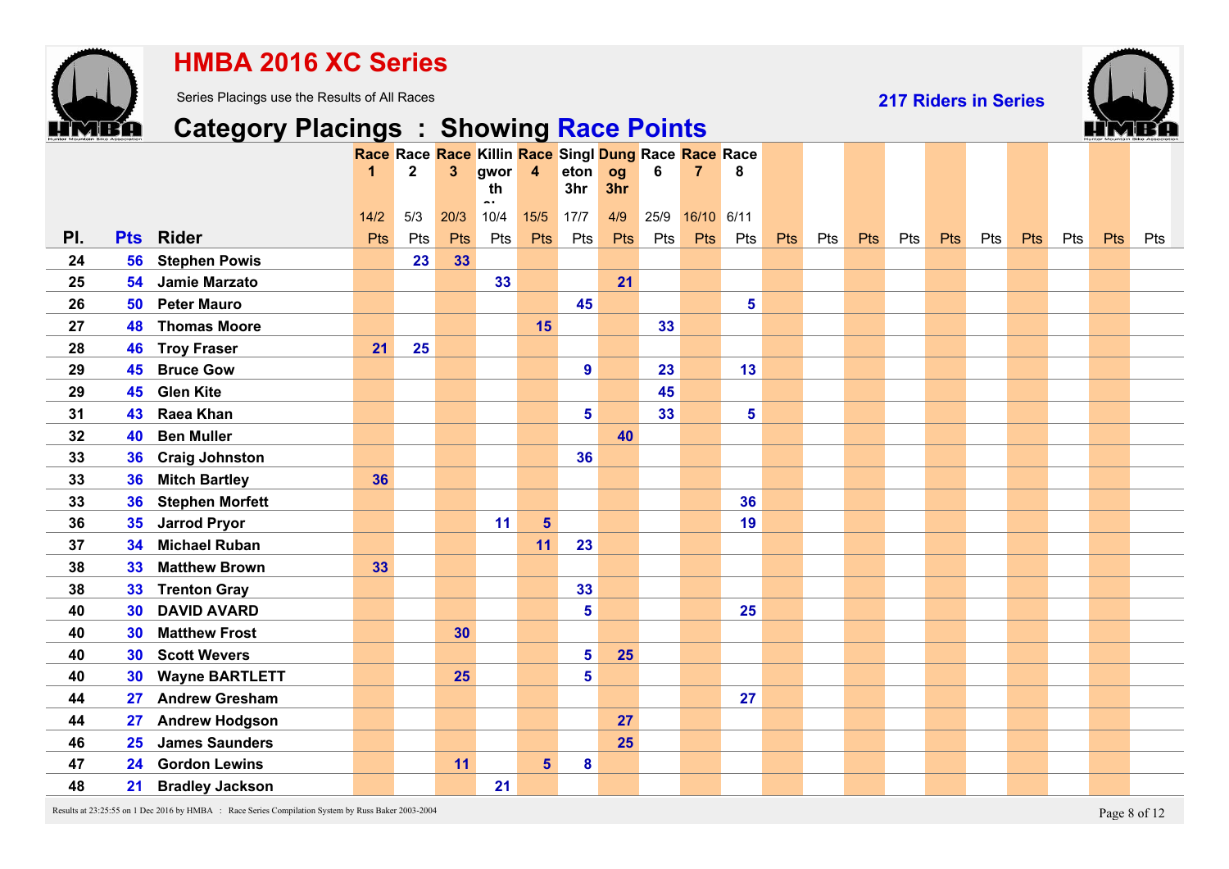

### **HMBA 2016 XC Series**

Series Placings use the Results of All Races

**217 Riders in Series**



# **Category Placings : Showing Race Points**

|     |                 |                        | 1      | Race Race Race Killin Race Singl Dung Race Race Race<br>$\mathbf{2}$ | 3    | gwor                           | $\overline{\mathbf{4}}$ | eton                    | og  | 6    | 7          | 8   |     |     |     |     |            |     |     |     |     |     |
|-----|-----------------|------------------------|--------|----------------------------------------------------------------------|------|--------------------------------|-------------------------|-------------------------|-----|------|------------|-----|-----|-----|-----|-----|------------|-----|-----|-----|-----|-----|
|     |                 |                        |        |                                                                      |      | th<br>$\overline{\phantom{a}}$ |                         | 3 <sub>hr</sub>         | 3hr |      |            |     |     |     |     |     |            |     |     |     |     |     |
|     |                 |                        | $14/2$ | 5/3                                                                  | 20/3 | 10/4                           | $15/5$                  | 17/7                    | 4/9 | 25/9 | 16/10 6/11 |     |     |     |     |     |            |     |     |     |     |     |
| PI. | <b>Pts</b>      | <b>Rider</b>           | Pts    | Pts                                                                  | Pts  | Pts                            | Pts                     | Pts                     | Pts | Pts  | <b>Pts</b> | Pts | Pts | Pts | Pts | Pts | <b>Pts</b> | Pts | Pts | Pts | Pts | Pts |
| 24  | 56              | <b>Stephen Powis</b>   |        | 23                                                                   | 33   |                                |                         |                         |     |      |            |     |     |     |     |     |            |     |     |     |     |     |
| 25  | 54              | Jamie Marzato          |        |                                                                      |      | 33                             |                         |                         | 21  |      |            |     |     |     |     |     |            |     |     |     |     |     |
| 26  | 50              | <b>Peter Mauro</b>     |        |                                                                      |      |                                |                         | 45                      |     |      |            | 5   |     |     |     |     |            |     |     |     |     |     |
| 27  | 48              | <b>Thomas Moore</b>    |        |                                                                      |      |                                | 15                      |                         |     | 33   |            |     |     |     |     |     |            |     |     |     |     |     |
| 28  | 46              | <b>Troy Fraser</b>     | 21     | 25                                                                   |      |                                |                         |                         |     |      |            |     |     |     |     |     |            |     |     |     |     |     |
| 29  | 45              | <b>Bruce Gow</b>       |        |                                                                      |      |                                |                         | 9                       |     | 23   |            | 13  |     |     |     |     |            |     |     |     |     |     |
| 29  | 45              | <b>Glen Kite</b>       |        |                                                                      |      |                                |                         |                         |     | 45   |            |     |     |     |     |     |            |     |     |     |     |     |
| 31  | 43              | Raea Khan              |        |                                                                      |      |                                |                         | $5\phantom{1}$          |     | 33   |            | 5   |     |     |     |     |            |     |     |     |     |     |
| 32  | 40              | <b>Ben Muller</b>      |        |                                                                      |      |                                |                         |                         | 40  |      |            |     |     |     |     |     |            |     |     |     |     |     |
| 33  | 36              | <b>Craig Johnston</b>  |        |                                                                      |      |                                |                         | 36                      |     |      |            |     |     |     |     |     |            |     |     |     |     |     |
| 33  | 36              | <b>Mitch Bartley</b>   | 36     |                                                                      |      |                                |                         |                         |     |      |            |     |     |     |     |     |            |     |     |     |     |     |
| 33  | 36              | <b>Stephen Morfett</b> |        |                                                                      |      |                                |                         |                         |     |      |            | 36  |     |     |     |     |            |     |     |     |     |     |
| 36  | 35              | <b>Jarrod Pryor</b>    |        |                                                                      |      | 11                             | $5\phantom{a}$          |                         |     |      |            | 19  |     |     |     |     |            |     |     |     |     |     |
| 37  | 34              | <b>Michael Ruban</b>   |        |                                                                      |      |                                | 11                      | 23                      |     |      |            |     |     |     |     |     |            |     |     |     |     |     |
| 38  | 33 <sub>°</sub> | <b>Matthew Brown</b>   | 33     |                                                                      |      |                                |                         |                         |     |      |            |     |     |     |     |     |            |     |     |     |     |     |
| 38  | 33 <sup>°</sup> | <b>Trenton Gray</b>    |        |                                                                      |      |                                |                         | 33                      |     |      |            |     |     |     |     |     |            |     |     |     |     |     |
| 40  | 30              | <b>DAVID AVARD</b>     |        |                                                                      |      |                                |                         | 5                       |     |      |            | 25  |     |     |     |     |            |     |     |     |     |     |
| 40  | 30              | <b>Matthew Frost</b>   |        |                                                                      | 30   |                                |                         |                         |     |      |            |     |     |     |     |     |            |     |     |     |     |     |
| 40  | 30              | <b>Scott Wevers</b>    |        |                                                                      |      |                                |                         | 5                       | 25  |      |            |     |     |     |     |     |            |     |     |     |     |     |
| 40  | 30              | <b>Wayne BARTLETT</b>  |        |                                                                      | 25   |                                |                         | $\overline{\mathbf{5}}$ |     |      |            |     |     |     |     |     |            |     |     |     |     |     |
| 44  | 27              | <b>Andrew Gresham</b>  |        |                                                                      |      |                                |                         |                         |     |      |            | 27  |     |     |     |     |            |     |     |     |     |     |
| 44  | 27              | <b>Andrew Hodgson</b>  |        |                                                                      |      |                                |                         |                         | 27  |      |            |     |     |     |     |     |            |     |     |     |     |     |
| 46  | 25              | <b>James Saunders</b>  |        |                                                                      |      |                                |                         |                         | 25  |      |            |     |     |     |     |     |            |     |     |     |     |     |
| 47  | 24              | <b>Gordon Lewins</b>   |        |                                                                      | 11   |                                | 5 <sup>5</sup>          | 8                       |     |      |            |     |     |     |     |     |            |     |     |     |     |     |
| 48  | 21              | <b>Bradley Jackson</b> |        |                                                                      |      | 21                             |                         |                         |     |      |            |     |     |     |     |     |            |     |     |     |     |     |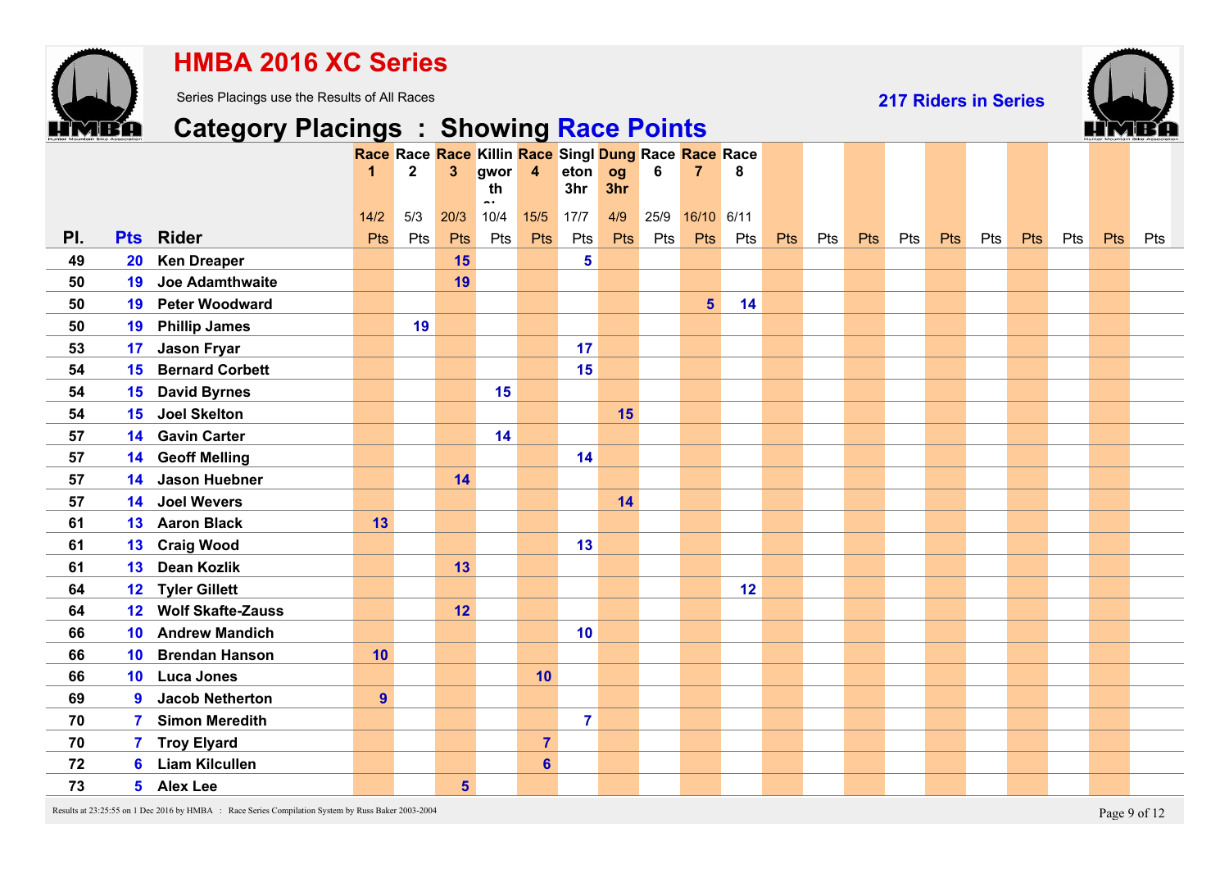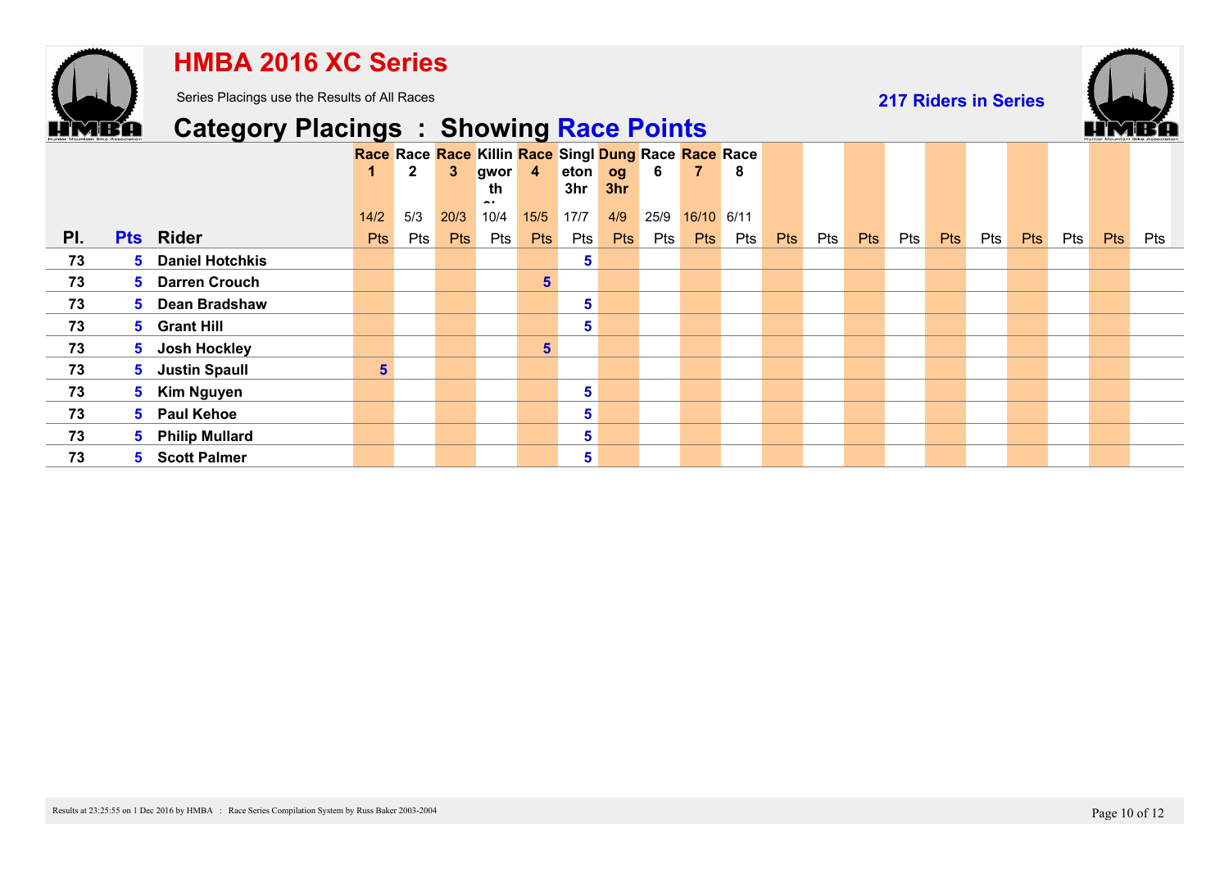

### **HMBA 2016 XC Series**

Series Placings use the Results of All Races

**217 Riders in Series**



## **Category Placings : Showing Race Points**

|     |                          |                |              |            | Race Race Race Killin Race Singl Dung Race Race Race |                |      |            |      |            |     |     |     |            |     |            |     |            |     |     |     |
|-----|--------------------------|----------------|--------------|------------|------------------------------------------------------|----------------|------|------------|------|------------|-----|-----|-----|------------|-----|------------|-----|------------|-----|-----|-----|
|     |                          | 1.             | $\mathbf{2}$ |            | gwor                                                 | $\overline{4}$ | eton | og         | 6    | 7          | 8   |     |     |            |     |            |     |            |     |     |     |
|     |                          |                |              |            | th<br>. .                                            |                | 3hr  | 3hr        |      |            |     |     |     |            |     |            |     |            |     |     |     |
|     |                          | 14/2           | 5/3          | 20/3       | 10/4                                                 | 15/5           | 17/7 | 4/9        | 25/9 | 16/10 6/11 |     |     |     |            |     |            |     |            |     |     |     |
| PI. | <b>Pts</b> Rider         | Pts            | Pts          | <b>Pts</b> | Pts                                                  | <b>Pts</b>     | Pts  | <b>Pts</b> | Pts  | <b>Pts</b> | Pts | Pts | Pts | <b>Pts</b> | Pts | <b>Pts</b> | Pts | <b>Pts</b> | Pts | Pts | Pts |
| 73  | <b>5</b> Daniel Hotchkis |                |              |            |                                                      |                | 5    |            |      |            |     |     |     |            |     |            |     |            |     |     |     |
| 73  | 5 Darren Crouch          |                |              |            |                                                      | 5 <sup>5</sup> |      |            |      |            |     |     |     |            |     |            |     |            |     |     |     |
| 73  | 5 Dean Bradshaw          |                |              |            |                                                      |                | 5    |            |      |            |     |     |     |            |     |            |     |            |     |     |     |
| 73  | 5 Grant Hill             |                |              |            |                                                      |                | 5    |            |      |            |     |     |     |            |     |            |     |            |     |     |     |
| 73  | 5 Josh Hockley           |                |              |            |                                                      | 5 <sup>5</sup> |      |            |      |            |     |     |     |            |     |            |     |            |     |     |     |
| 73  | 5 Justin Spaull          | 5 <sup>1</sup> |              |            |                                                      |                |      |            |      |            |     |     |     |            |     |            |     |            |     |     |     |
| 73  | 5 Kim Nguyen             |                |              |            |                                                      |                | 5    |            |      |            |     |     |     |            |     |            |     |            |     |     |     |
| 73  | 5 Paul Kehoe             |                |              |            |                                                      |                | 5    |            |      |            |     |     |     |            |     |            |     |            |     |     |     |
| 73  | 5 Philip Mullard         |                |              |            |                                                      |                | 5    |            |      |            |     |     |     |            |     |            |     |            |     |     |     |
| 73  | 5 Scott Palmer           |                |              |            |                                                      |                | 5    |            |      |            |     |     |     |            |     |            |     |            |     |     |     |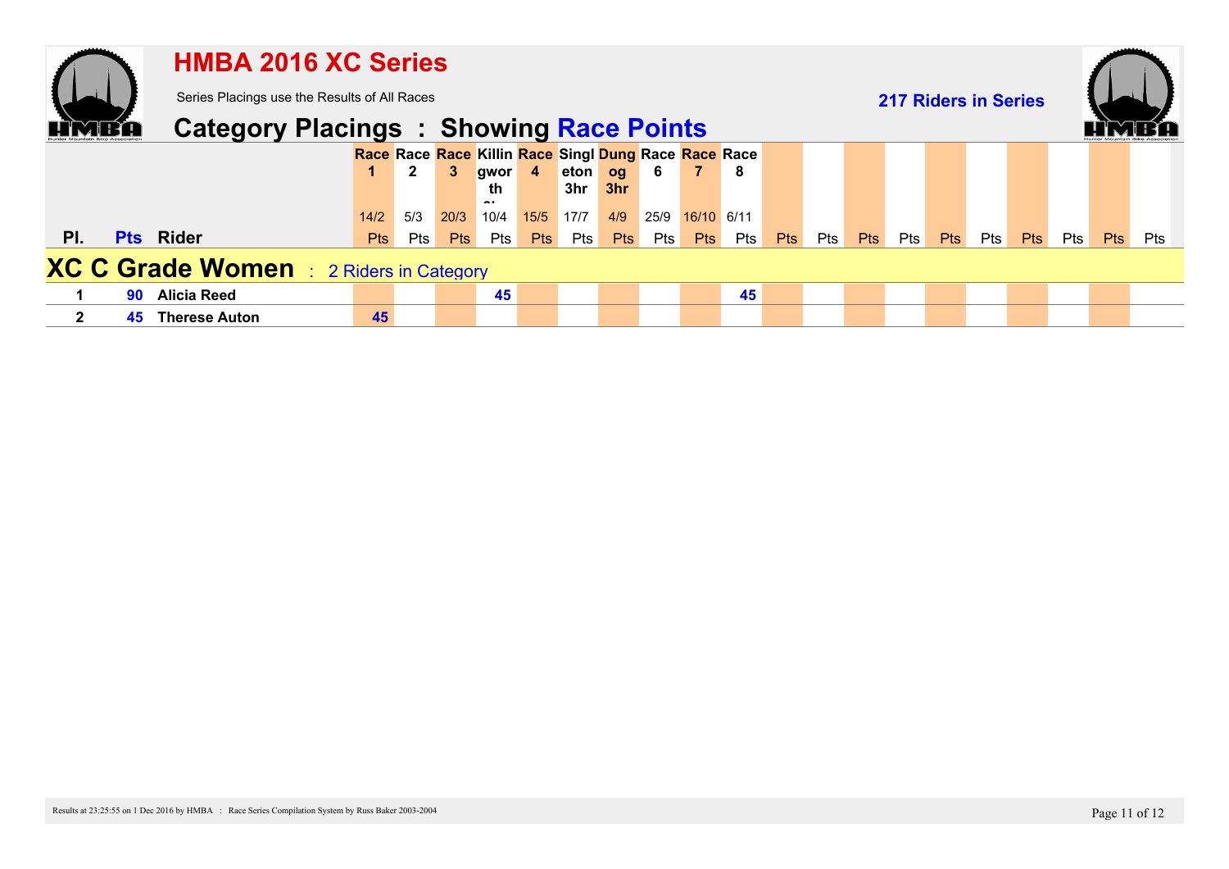|              |    | <b>HMBA 2016 XC Series</b>                     |            |              |            |            |                |                                                      |            |      |                |     |     |     |            |                             |            |            |            |     |            |     |
|--------------|----|------------------------------------------------|------------|--------------|------------|------------|----------------|------------------------------------------------------|------------|------|----------------|-----|-----|-----|------------|-----------------------------|------------|------------|------------|-----|------------|-----|
|              |    | Series Placings use the Results of All Races   |            |              |            |            |                |                                                      |            |      |                |     |     |     |            | <b>217 Riders in Series</b> |            |            |            |     |            |     |
|              |    | <b>Category Placings : Showing Race Points</b> |            |              |            |            |                |                                                      |            |      |                |     |     |     |            |                             |            |            |            |     |            |     |
|              |    |                                                |            |              |            |            |                | Race Race Race Killin Race Singl Dung Race Race Race |            |      | $\overline{7}$ |     |     |     |            |                             |            |            |            |     |            |     |
|              |    |                                                |            | $\mathbf{2}$ | 3          | gwor<br>th | $\overline{4}$ | eton og<br>3hr                                       | 3hr        | -6   |                | -8  |     |     |            |                             |            |            |            |     |            |     |
|              |    |                                                | 14/2       | 5/3          | 20/3       | 10/4       | 15/5           | 17/7                                                 | 4/9        | 25/9 | 16/10 6/11     |     |     |     |            |                             |            |            |            |     |            |     |
| PI.          |    | <b>Pts</b> Rider                               | <b>Pts</b> | Pts          | <b>Pts</b> | Pts        | <b>Pts</b>     | Pts                                                  | <b>Pts</b> | Pts  | <b>Pts</b>     | Pts | Pts | Pts | <b>Pts</b> | Pts                         | <b>Pts</b> | <b>Pts</b> | <b>Pts</b> | Pts | <b>Pts</b> | Pts |
|              |    | <b>XC C Grade Women</b> : 2 Riders in Category |            |              |            |            |                |                                                      |            |      |                |     |     |     |            |                             |            |            |            |     |            |     |
|              | 90 | <b>Alicia Reed</b>                             |            |              |            | 45         |                |                                                      |            |      |                | 45  |     |     |            |                             |            |            |            |     |            |     |
| $\mathbf{2}$ | 45 | <b>Therese Auton</b>                           | 45         |              |            |            |                |                                                      |            |      |                |     |     |     |            |                             |            |            |            |     |            |     |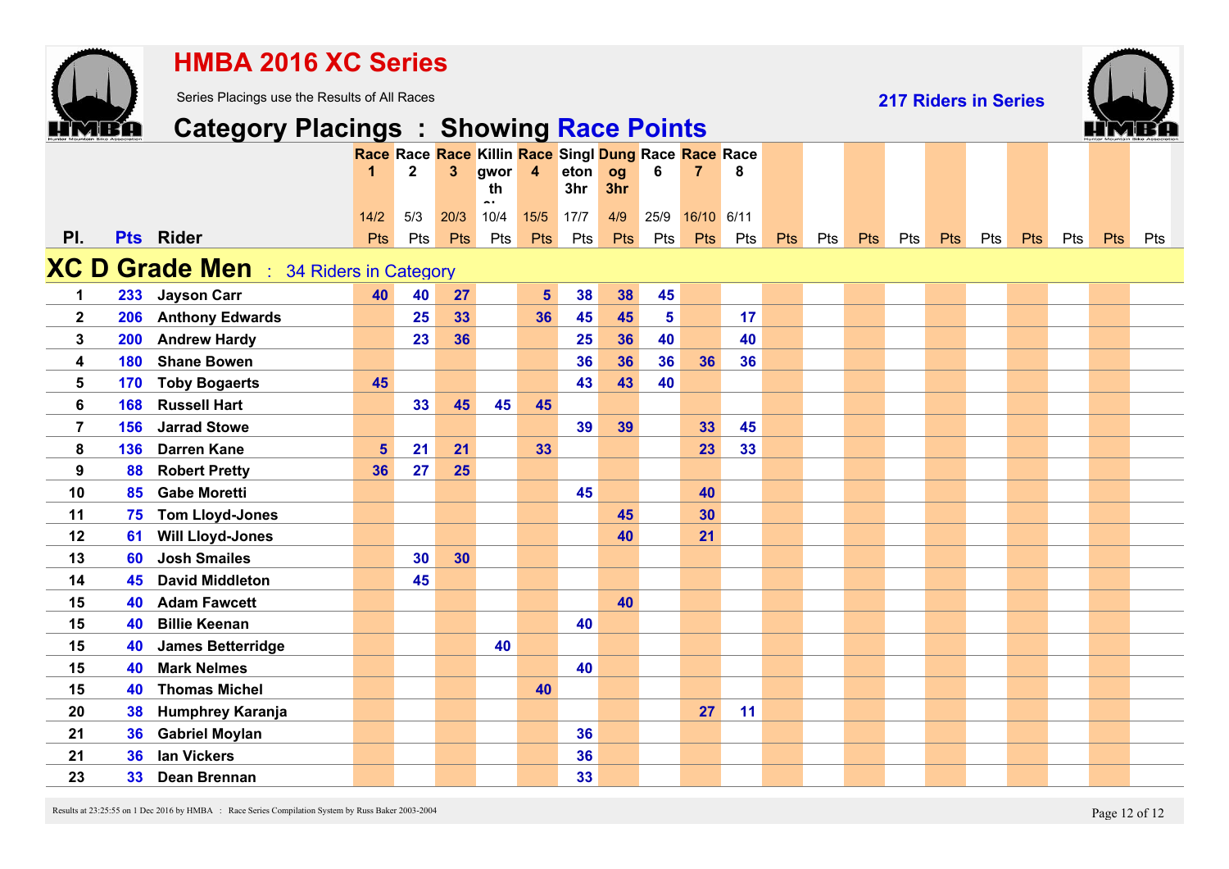|                  |     | <b>HMBA 2016 XC Series</b>                     |                                                      |              |                |                                |                         |      |     |                |                |     |            |     |     |                             |            |     |     |     |            |     |
|------------------|-----|------------------------------------------------|------------------------------------------------------|--------------|----------------|--------------------------------|-------------------------|------|-----|----------------|----------------|-----|------------|-----|-----|-----------------------------|------------|-----|-----|-----|------------|-----|
|                  |     | Series Placings use the Results of All Races   |                                                      |              |                |                                |                         |      |     |                |                |     |            |     |     | <b>217 Riders in Series</b> |            |     |     |     |            |     |
|                  |     | <b>Category Placings : Showing Race Points</b> |                                                      |              |                |                                |                         |      |     |                |                |     |            |     |     |                             |            |     |     |     |            |     |
|                  |     |                                                | Race Race Race Killin Race Singl Dung Race Race Race |              |                |                                |                         |      |     |                |                |     |            |     |     |                             |            |     |     |     |            |     |
|                  |     |                                                |                                                      | $\mathbf{2}$ | $3\phantom{a}$ | gwor                           | $\overline{\mathbf{4}}$ | eton | og  | 6              | $\overline{7}$ | 8   |            |     |     |                             |            |     |     |     |            |     |
|                  |     |                                                |                                                      |              |                | th<br>$\overline{\phantom{a}}$ |                         | 3hr  | 3hr |                |                |     |            |     |     |                             |            |     |     |     |            |     |
|                  |     |                                                | $14/2$                                               | 5/3          | 20/3           | 10/4                           | $15/5$                  | 17/7 | 4/9 | 25/9           | 16/10 6/11     |     |            |     |     |                             |            |     |     |     |            |     |
| PI.              |     | Pts Rider                                      | <b>Pts</b>                                           | Pts          | <b>Pts</b>     | Pts                            | Pts                     | Pts  | Pts | Pts            | Pts            | Pts | <b>Pts</b> | Pts | Pts | Pts                         | <b>Pts</b> | Pts | Pts | Pts | <b>Pts</b> | Pts |
|                  |     | <b>XC D Grade Men</b> : 34 Riders in Category  |                                                      |              |                |                                |                         |      |     |                |                |     |            |     |     |                             |            |     |     |     |            |     |
| $\mathbf 1$      | 233 | <b>Jayson Carr</b>                             | 40                                                   | 40           | 27             |                                | $5\phantom{a}$          | 38   | 38  | 45             |                |     |            |     |     |                             |            |     |     |     |            |     |
| $\mathbf{2}$     | 206 | <b>Anthony Edwards</b>                         |                                                      | 25           | 33             |                                | 36                      | 45   | 45  | $5\phantom{a}$ |                | 17  |            |     |     |                             |            |     |     |     |            |     |
| 3                | 200 | <b>Andrew Hardy</b>                            |                                                      | 23           | 36             |                                |                         | 25   | 36  | 40             |                | 40  |            |     |     |                             |            |     |     |     |            |     |
| 4                | 180 | <b>Shane Bowen</b>                             |                                                      |              |                |                                |                         | 36   | 36  | 36             | 36             | 36  |            |     |     |                             |            |     |     |     |            |     |
| 5                | 170 | <b>Toby Bogaerts</b>                           | 45                                                   |              |                |                                |                         | 43   | 43  | 40             |                |     |            |     |     |                             |            |     |     |     |            |     |
| $6\phantom{a}$   | 168 | <b>Russell Hart</b>                            |                                                      | 33           | 45             | 45                             | 45                      |      |     |                |                |     |            |     |     |                             |            |     |     |     |            |     |
| 7                | 156 | <b>Jarrad Stowe</b>                            |                                                      |              |                |                                |                         | 39   | 39  |                | 33             | 45  |            |     |     |                             |            |     |     |     |            |     |
| 8                | 136 | <b>Darren Kane</b>                             | $5\phantom{1}$                                       | 21           | 21             |                                | 33                      |      |     |                | 23             | 33  |            |     |     |                             |            |     |     |     |            |     |
| $\boldsymbol{9}$ | 88  | <b>Robert Pretty</b>                           | 36                                                   | 27           | 25             |                                |                         |      |     |                |                |     |            |     |     |                             |            |     |     |     |            |     |
| 10               | 85  | <b>Gabe Moretti</b>                            |                                                      |              |                |                                |                         | 45   |     |                | 40             |     |            |     |     |                             |            |     |     |     |            |     |
| 11               | 75  | <b>Tom Lloyd-Jones</b>                         |                                                      |              |                |                                |                         |      | 45  |                | 30             |     |            |     |     |                             |            |     |     |     |            |     |
| 12               | 61  | <b>Will Lloyd-Jones</b>                        |                                                      |              |                |                                |                         |      | 40  |                | 21             |     |            |     |     |                             |            |     |     |     |            |     |
| 13               | 60  | <b>Josh Smailes</b>                            |                                                      | 30           | 30             |                                |                         |      |     |                |                |     |            |     |     |                             |            |     |     |     |            |     |
| 14               | 45  | <b>David Middleton</b>                         |                                                      | 45           |                |                                |                         |      |     |                |                |     |            |     |     |                             |            |     |     |     |            |     |
| 15               | 40  | <b>Adam Fawcett</b>                            |                                                      |              |                |                                |                         |      | 40  |                |                |     |            |     |     |                             |            |     |     |     |            |     |
| 15               | 40  | <b>Billie Keenan</b>                           |                                                      |              |                |                                |                         | 40   |     |                |                |     |            |     |     |                             |            |     |     |     |            |     |
| 15               | 40  | <b>James Betterridge</b>                       |                                                      |              |                | 40                             |                         |      |     |                |                |     |            |     |     |                             |            |     |     |     |            |     |
| 15               | 40  | <b>Mark Nelmes</b>                             |                                                      |              |                |                                |                         | 40   |     |                |                |     |            |     |     |                             |            |     |     |     |            |     |
| 15               | 40  | <b>Thomas Michel</b>                           |                                                      |              |                |                                | 40                      |      |     |                |                |     |            |     |     |                             |            |     |     |     |            |     |
| 20               | 38  | <b>Humphrey Karanja</b>                        |                                                      |              |                |                                |                         |      |     |                | 27             | 11  |            |     |     |                             |            |     |     |     |            |     |
| 21               | 36  | <b>Gabriel Moylan</b>                          |                                                      |              |                |                                |                         | 36   |     |                |                |     |            |     |     |                             |            |     |     |     |            |     |
| 21               | 36  | <b>Ian Vickers</b>                             |                                                      |              |                |                                |                         | 36   |     |                |                |     |            |     |     |                             |            |     |     |     |            |     |
| 23               | 33  | Dean Brennan                                   |                                                      |              |                |                                |                         | 33   |     |                |                |     |            |     |     |                             |            |     |     |     |            |     |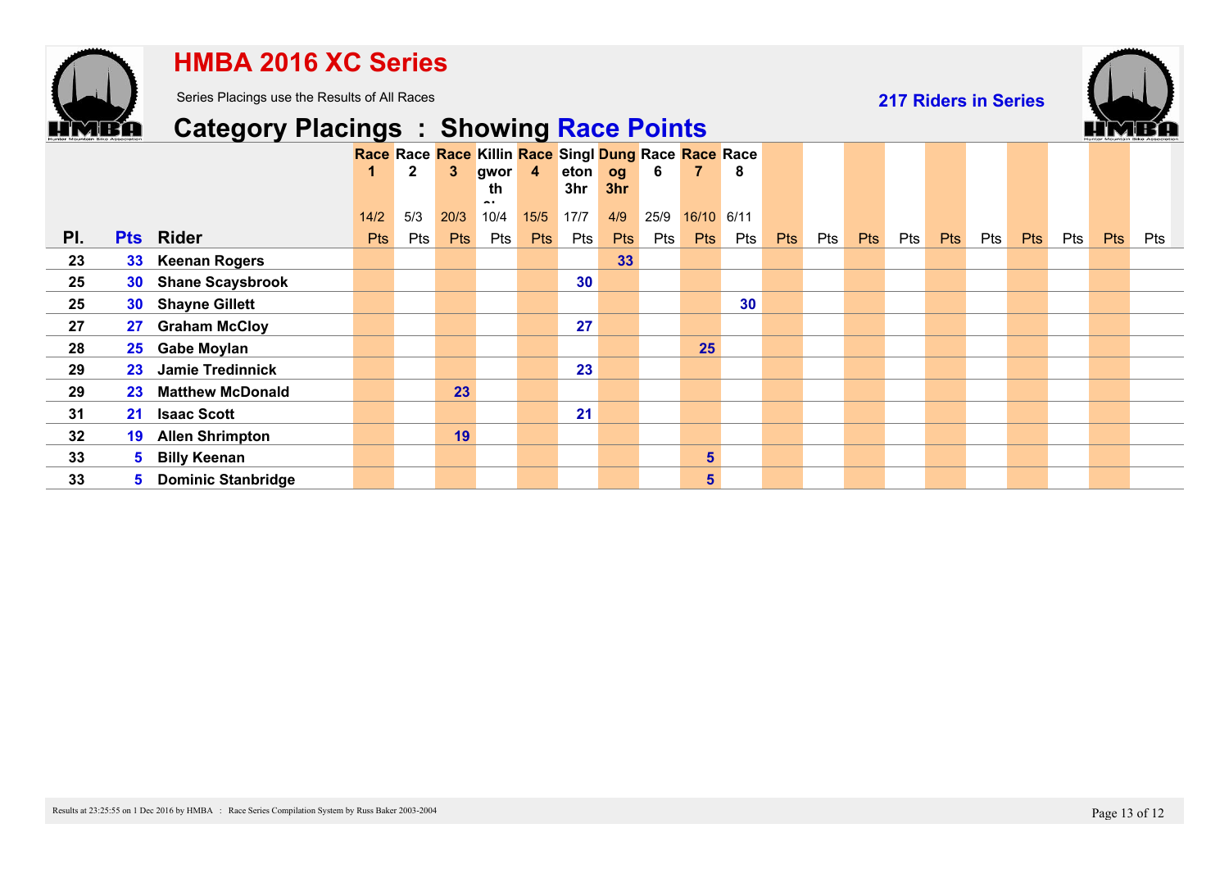

### **HMBA 2016 XC Series**

Series Placings use the Results of All Races

**217 Riders in Series**



## **Category Placings : Showing Race Points**

|     |                 |                             |            | $\mathbf{2}$ | 3.         | gwor 4            |            | Race Race Race Killin Race Singl Dung Race Race Race<br>eton og |            | 6    | 7              | 8   |     |     |            |     |            |     |            |     |     |     |
|-----|-----------------|-----------------------------|------------|--------------|------------|-------------------|------------|-----------------------------------------------------------------|------------|------|----------------|-----|-----|-----|------------|-----|------------|-----|------------|-----|-----|-----|
|     |                 |                             | 14/2       | 5/3          | 20/3       | th<br>. .<br>10/4 | 15/5       | 3hr<br>17/7                                                     | 3hr<br>4/9 | 25/9 | 16/10 6/11     |     |     |     |            |     |            |     |            |     |     |     |
| PI. |                 | <b>Pts</b> Rider            | <b>Pts</b> | Pts          | <b>Pts</b> | Pts               | <b>Pts</b> | Pts                                                             | <b>Pts</b> | Pts  | <b>Pts</b>     | Pts | Pts | Pts | <b>Pts</b> | Pts | <b>Pts</b> | Pts | <b>Pts</b> | Pts | Pts | Pts |
| 23  |                 | 33 Keenan Rogers            |            |              |            |                   |            |                                                                 | 33         |      |                |     |     |     |            |     |            |     |            |     |     |     |
| 25  | <b>30</b>       | <b>Shane Scaysbrook</b>     |            |              |            |                   |            | 30                                                              |            |      |                |     |     |     |            |     |            |     |            |     |     |     |
| 25  |                 | 30 Shayne Gillett           |            |              |            |                   |            |                                                                 |            |      |                | 30  |     |     |            |     |            |     |            |     |     |     |
| 27  | 27              | <b>Graham McCloy</b>        |            |              |            |                   |            | 27                                                              |            |      |                |     |     |     |            |     |            |     |            |     |     |     |
| 28  |                 | 25 Gabe Moylan              |            |              |            |                   |            |                                                                 |            |      | 25             |     |     |     |            |     |            |     |            |     |     |     |
| 29  | 23 <sup>°</sup> | <b>Jamie Tredinnick</b>     |            |              |            |                   |            | 23                                                              |            |      |                |     |     |     |            |     |            |     |            |     |     |     |
| 29  |                 | 23 Matthew McDonald         |            |              | 23         |                   |            |                                                                 |            |      |                |     |     |     |            |     |            |     |            |     |     |     |
| 31  | 21 <sup>1</sup> | <b>Isaac Scott</b>          |            |              |            |                   |            | 21                                                              |            |      |                |     |     |     |            |     |            |     |            |     |     |     |
| 32  | 19              | <b>Allen Shrimpton</b>      |            |              | 19         |                   |            |                                                                 |            |      |                |     |     |     |            |     |            |     |            |     |     |     |
| 33  |                 | 5 Billy Keenan              |            |              |            |                   |            |                                                                 |            |      | $5\phantom{1}$ |     |     |     |            |     |            |     |            |     |     |     |
| 33  |                 | <b>5</b> Dominic Stanbridge |            |              |            |                   |            |                                                                 |            |      | 5              |     |     |     |            |     |            |     |            |     |     |     |